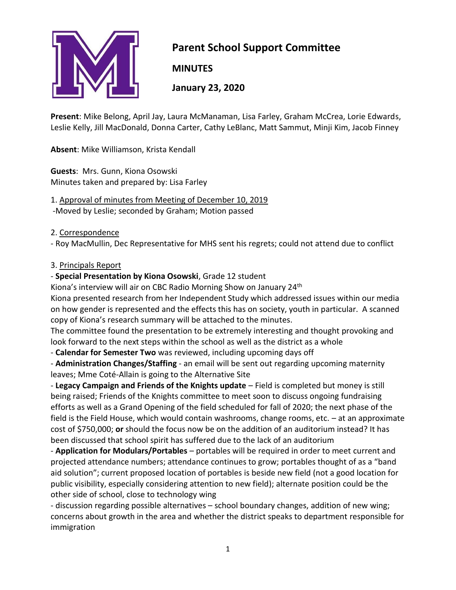

# **Parent School Support Committee**

**MINUTES**

**January 23, 2020**

**Present**: Mike Belong, April Jay, Laura McManaman, Lisa Farley, Graham McCrea, Lorie Edwards, Leslie Kelly, Jill MacDonald, Donna Carter, Cathy LeBlanc, Matt Sammut, Minji Kim, Jacob Finney

**Absent**: Mike Williamson, Krista Kendall

**Guests**: Mrs. Gunn, Kiona Osowski Minutes taken and prepared by: Lisa Farley

1. Approval of minutes from Meeting of December 10, 2019

-Moved by Leslie; seconded by Graham; Motion passed

#### 2. Correspondence

- Roy MacMullin, Dec Representative for MHS sent his regrets; could not attend due to conflict

#### 3. Principals Report

- **Special Presentation by Kiona Osowski**, Grade 12 student

Kiona's interview will air on CBC Radio Morning Show on January 24<sup>th</sup>

Kiona presented research from her Independent Study which addressed issues within our media on how gender is represented and the effects this has on society, youth in particular. A scanned copy of Kiona's research summary will be attached to the minutes.

The committee found the presentation to be extremely interesting and thought provoking and look forward to the next steps within the school as well as the district as a whole

- **Calendar for Semester Two** was reviewed, including upcoming days off

- **Administration Changes/Staffing** - an email will be sent out regarding upcoming maternity leaves; Mme Coté-Allain is going to the Alternative Site

- **Legacy Campaign and Friends of the Knights update** – Field is completed but money is still being raised; Friends of the Knights committee to meet soon to discuss ongoing fundraising efforts as well as a Grand Opening of the field scheduled for fall of 2020; the next phase of the field is the Field House, which would contain washrooms, change rooms, etc. – at an approximate cost of \$750,000; **or** should the focus now be on the addition of an auditorium instead? It has been discussed that school spirit has suffered due to the lack of an auditorium

- **Application for Modulars/Portables** – portables will be required in order to meet current and projected attendance numbers; attendance continues to grow; portables thought of as a "band aid solution"; current proposed location of portables is beside new field (not a good location for public visibility, especially considering attention to new field); alternate position could be the other side of school, close to technology wing

- discussion regarding possible alternatives – school boundary changes, addition of new wing; concerns about growth in the area and whether the district speaks to department responsible for immigration